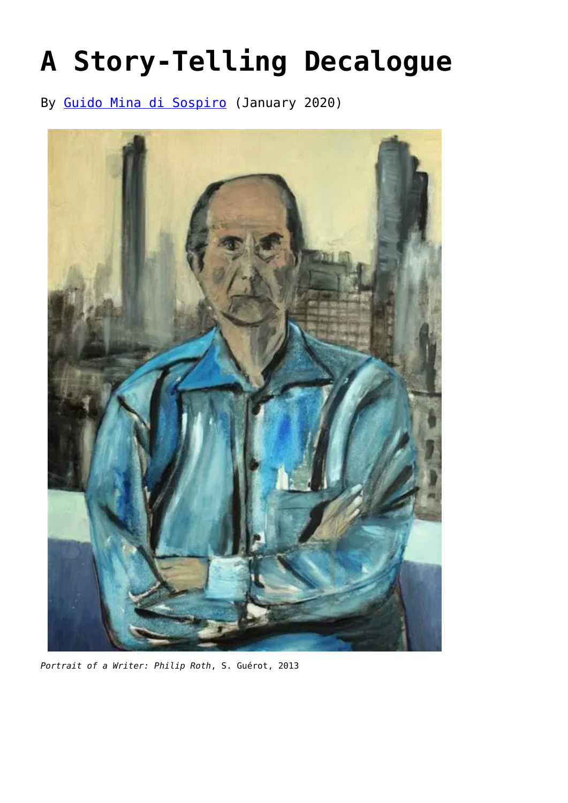## **[A Story-Telling Decalogue](https://www.newenglishreview.org/articles/a-story-telling-decalogue/)**

By [Guido Mina di Sospiro](https://www.newenglishreview.org/articles/guido-mina-di-sospiro/?) (January 2020)



*Portrait of a Writer: Philip Roth*, S. Guérot, 2013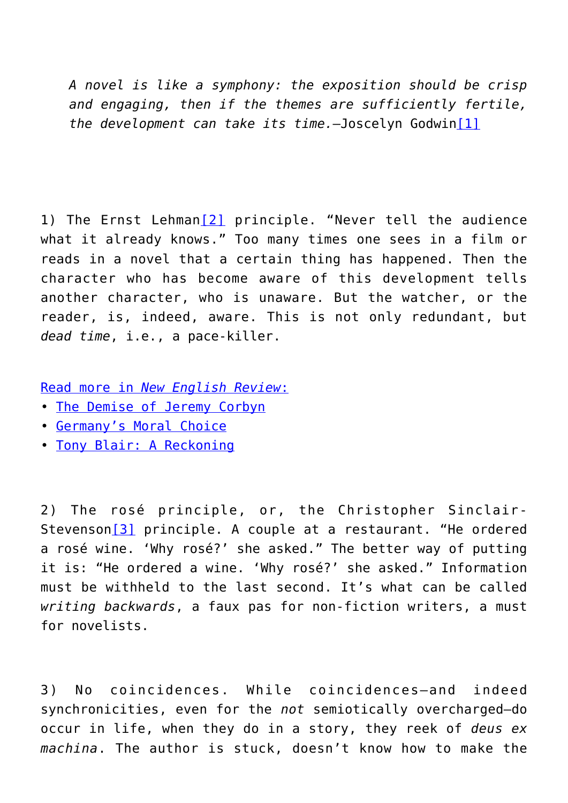*A novel is like a symphony: the exposition should be crisp and engaging, then if the themes are sufficiently fertile, the development can take its time.*—Joscelyn Godwin[\[1\]](#page--1-0)

1) The Ernst Lehman[\[2\]](#page--1-0) principle. "Never tell the audience what it already knows." Too many times one sees in a film or reads in a novel that a certain thing has happened. Then the character who has become aware of this development tells another character, who is unaware. But the watcher, or the reader, is, indeed, aware. This is not only redundant, but *dead time*, i.e., a pace-killer.

[Read more in](https://www.newenglishreview.org/) *[New English Review](https://www.newenglishreview.org/)*[:](https://www.newenglishreview.org/)

- [T](https://www.newenglishreview.org/articles/the-catalonian-case-a-challenge-to-spanish-democracy/?)[he Demise of Jeremy Corbyn](https://www.newenglishreview.org/articles/the-demise-of-jeremy-corbyn/?)
- [G](https://www.newenglishreview.org/articles/hypocrites-and-heroes/?)[ermany's Moral Choice](https://www.newenglishreview.org/articles/germanys-moral-choice/?)
- [T](https://www.newenglishreview.org/articles/portsmouth-in-england/?)[ony Blair: A Reckoning](https://www.newenglishreview.org/articles/tony-blair-a-reckoning/?)

2) The rosé principle, or, the Christopher Sinclair-Stevenson<sup>[\[3\]](#page--1-0)</sup> principle. A couple at a restaurant. "He ordered a rosé wine. 'Why rosé?' she asked." The better way of putting it is: "He ordered a wine. 'Why rosé?' she asked." Information must be withheld to the last second. It's what can be called *writing backwards*, a faux pas for non-fiction writers, a must for novelists.

3) No coincidences. While coincidences—and indeed synchronicities, even for the *not* semiotically overcharged—do occur in life, when they do in a story, they reek of *deus ex machina*. The author is stuck, doesn't know how to make the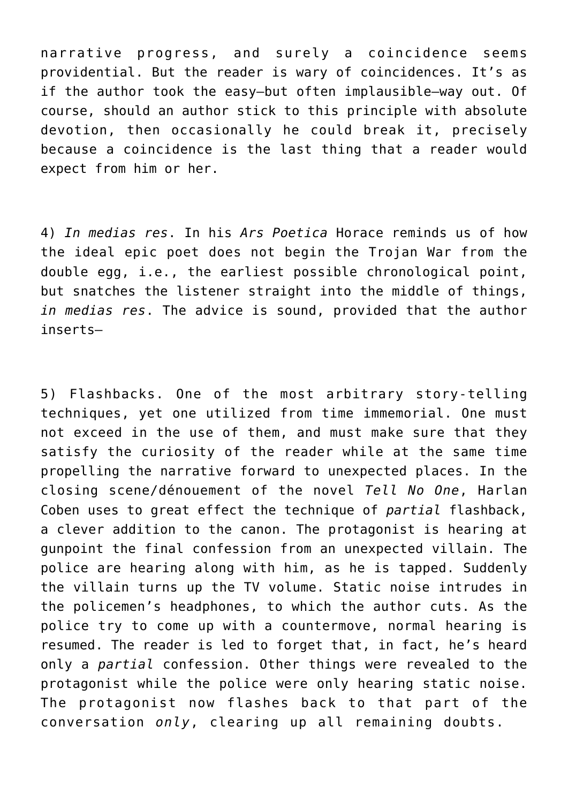narrative progress, and surely a coincidence seems providential. But the reader is wary of coincidences. It's as if the author took the easy—but often implausible—way out. Of course, should an author stick to this principle with absolute devotion, then occasionally he could break it, precisely because a coincidence is the last thing that a reader would expect from him or her.

4) *In medias res*. In his *Ars Poetica* Horace reminds us of how the ideal epic poet does not begin the Trojan War from the double egg, i.e., the earliest possible chronological point, but snatches the listener straight into the middle of things, *in medias res*. The advice is sound, provided that the author inserts—

5) Flashbacks. One of the most arbitrary story-telling techniques, yet one utilized from time immemorial. One must not exceed in the use of them, and must make sure that they satisfy the curiosity of the reader while at the same time propelling the narrative forward to unexpected places. In the closing scene/dénouement of the novel *Tell No One*, Harlan Coben uses to great effect the technique of *partial* flashback, a clever addition to the canon. The protagonist is hearing at gunpoint the final confession from an unexpected villain. The police are hearing along with him, as he is tapped. Suddenly the villain turns up the TV volume. Static noise intrudes in the policemen's headphones, to which the author cuts. As the police try to come up with a countermove, normal hearing is resumed. The reader is led to forget that, in fact, he's heard only a *partial* confession. Other things were revealed to the protagonist while the police were only hearing static noise. The protagonist now flashes back to that part of the conversation *only*, clearing up all remaining doubts.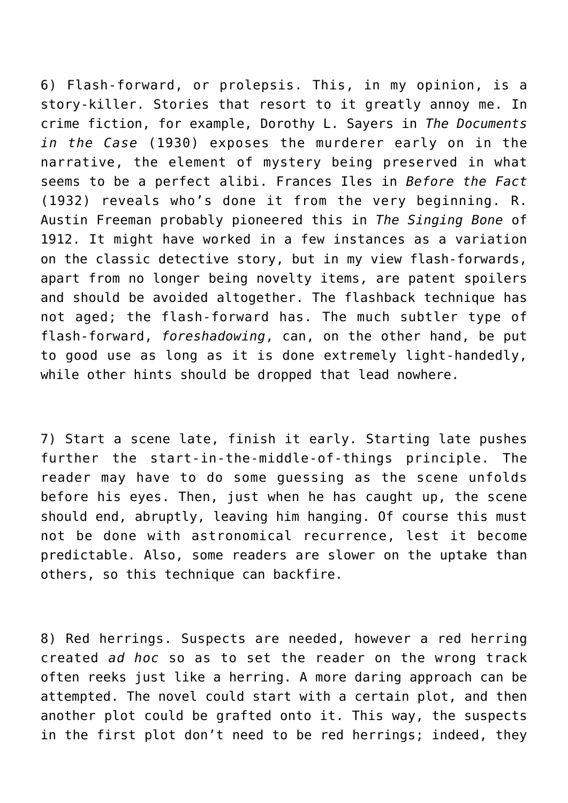6) Flash-forward, or prolepsis. This, in my opinion, is a story-killer. Stories that resort to it greatly annoy me. In crime fiction, for example, Dorothy L. Sayers in *The Documents in the Case* (1930) exposes the murderer early on in the narrative, the element of mystery being preserved in what seems to be a perfect alibi. Frances Iles in *Before the Fact* (1932) reveals who's done it from the very beginning. R. Austin Freeman probably pioneered this in *The Singing Bone* of 1912. It might have worked in a few instances as a variation on the classic detective story, but in my view flash-forwards, apart from no longer being novelty items, are patent spoilers and should be avoided altogether. The flashback technique has not aged; the flash-forward has. The much subtler type of flash-forward, *foreshadowing*, can, on the other hand, be put to good use as long as it is done extremely light-handedly, while other hints should be dropped that lead nowhere.

7) Start a scene late, finish it early. Starting late pushes further the start-in-the-middle-of-things principle. The reader may have to do some guessing as the scene unfolds before his eyes. Then, just when he has caught up, the scene should end, abruptly, leaving him hanging. Of course this must not be done with astronomical recurrence, lest it become predictable. Also, some readers are slower on the uptake than others, so this technique can backfire.

8) Red herrings. Suspects are needed, however a red herring created *ad hoc* so as to set the reader on the wrong track often reeks just like a herring. A more daring approach can be attempted. The novel could start with a certain plot, and then another plot could be grafted onto it. This way, the suspects in the first plot don't need to be red herrings; indeed, they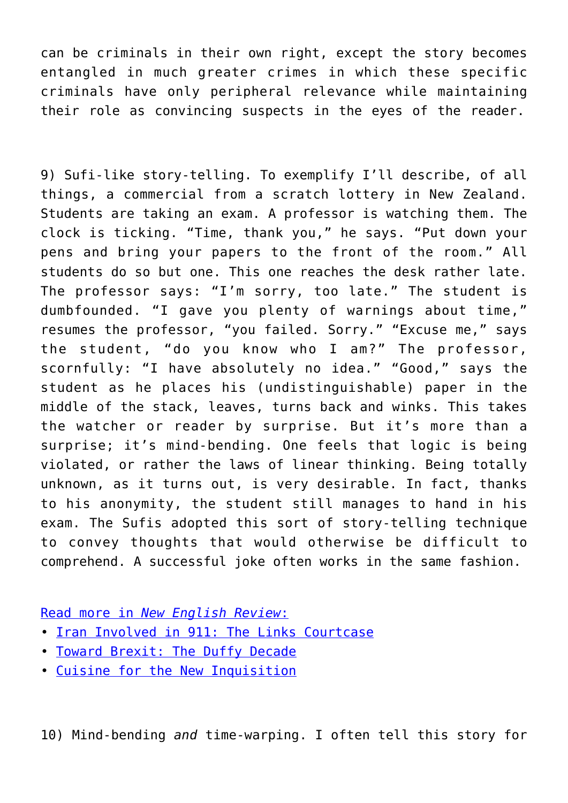can be criminals in their own right, except the story becomes entangled in much greater crimes in which these specific criminals have only peripheral relevance while maintaining their role as convincing suspects in the eyes of the reader.

9) Sufi-like story-telling. To exemplify I'll describe, of all things, a commercial from a scratch lottery in New Zealand. Students are taking an exam. A professor is watching them. The clock is ticking. "Time, thank you," he says. "Put down your pens and bring your papers to the front of the room." All students do so but one. This one reaches the desk rather late. The professor says: "I'm sorry, too late." The student is dumbfounded. "I gave you plenty of warnings about time," resumes the professor, "you failed. Sorry." "Excuse me," says the student, "do you know who I am?" The professor, scornfully: "I have absolutely no idea." "Good," says the student as he places his (undistinguishable) paper in the middle of the stack, leaves, turns back and winks. This takes the watcher or reader by surprise. But it's more than a surprise; it's mind-bending. One feels that logic is being violated, or rather the laws of linear thinking. Being totally unknown, as it turns out, is very desirable. In fact, thanks to his anonymity, the student still manages to hand in his exam. The Sufis adopted this sort of story-telling technique to convey thoughts that would otherwise be difficult to comprehend. A successful joke often works in the same fashion.

[Read more in](https://www.newenglishreview.org/) *[New English Review](https://www.newenglishreview.org/)*[:](https://www.newenglishreview.org/)

- [Iran Involved in 911: The Links Courtcase](https://www.newenglishreview.org/articles/iran-involved-in-9-11-the-links-courtcase/?)
- [Toward Brexit: The Duffy Decade](https://www.newenglishreview.org/articles/toward-brexit-the-duffy-decade/?)
- [Cuisine for the New Inquisition](https://www.newenglishreview.org/articles/cuisine-for-the-new-inquisition/?)

10) Mind-bending *and* time-warping. I often tell this story for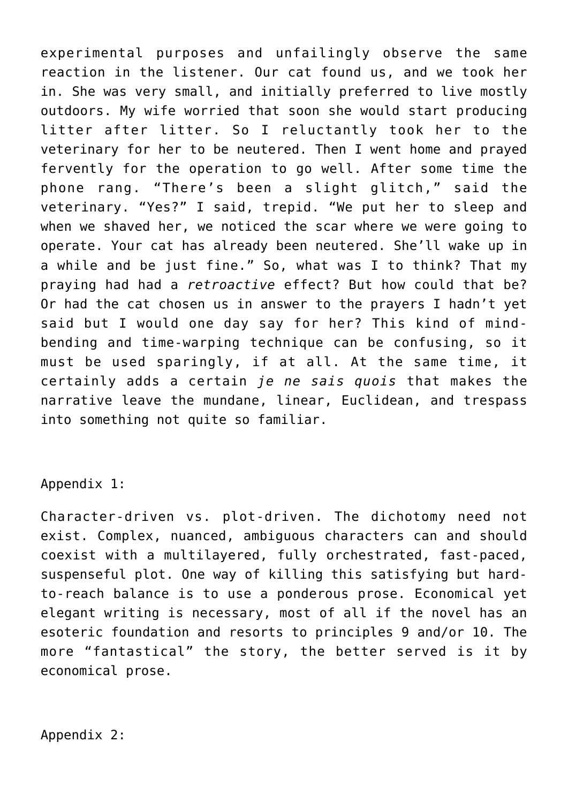experimental purposes and unfailingly observe the same reaction in the listener. Our cat found us, and we took her in. She was very small, and initially preferred to live mostly outdoors. My wife worried that soon she would start producing litter after litter. So I reluctantly took her to the veterinary for her to be neutered. Then I went home and prayed fervently for the operation to go well. After some time the phone rang. "There's been a slight glitch," said the veterinary. "Yes?" I said, trepid. "We put her to sleep and when we shaved her, we noticed the scar where we were going to operate. Your cat has already been neutered. She'll wake up in a while and be just fine." So, what was I to think? That my praying had had a *retroactive* effect? But how could that be? Or had the cat chosen us in answer to the prayers I hadn't yet said but I would one day say for her? This kind of mindbending and time-warping technique can be confusing, so it must be used sparingly, if at all. At the same time, it certainly adds a certain *je ne sais quois* that makes the narrative leave the mundane, linear, Euclidean, and trespass into something not quite so familiar.

## Appendix 1:

Character-driven vs. plot-driven. The dichotomy need not exist. Complex, nuanced, ambiguous characters can and should coexist with a multilayered, fully orchestrated, fast-paced, suspenseful plot. One way of killing this satisfying but hardto-reach balance is to use a ponderous prose. Economical yet elegant writing is necessary, most of all if the novel has an esoteric foundation and resorts to principles 9 and/or 10. The more "fantastical" the story, the better served is it by economical prose.

## Appendix 2: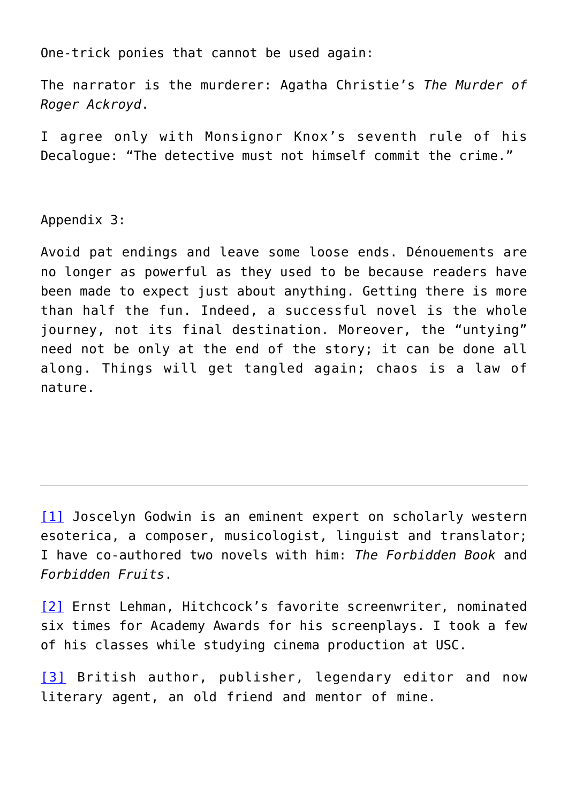One-trick ponies that cannot be used again:

The narrator is the murderer: Agatha Christie's *The Murder of Roger Ackroyd*.

I agree only with Monsignor Knox's seventh rule of his Decalogue: "The detective must not himself commit the crime."

Appendix 3:

Avoid pat endings and leave some loose ends. Dénouements are no longer as powerful as they used to be because readers have been made to expect just about anything. Getting there is more than half the fun. Indeed, a successful novel is the whole journey, not its final destination. Moreover, the "untying" need not be only at the end of the story; it can be done all along. Things will get tangled again; chaos is a law of nature.

[\[1\]](#page--1-0) Joscelyn Godwin is an eminent expert on scholarly western esoterica, a composer, musicologist, linguist and translator; I have co-authored two novels with him: *The Forbidden Book* and *Forbidden Fruits*.

[\[2\]](#page--1-0) Ernst Lehman, Hitchcock's favorite screenwriter, nominated six times for Academy Awards for his screenplays. I took a few of his classes while studying cinema production at USC.

[\[3\]](#page--1-0) British author, publisher, legendary editor and now literary agent, an old friend and mentor of mine.